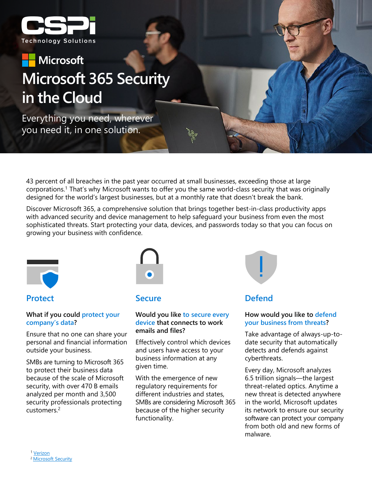

# **Microsoft Microsoft 365 Security in the Cloud**

Everything you need, wherever you need it, in one solution.

43 percent of all breaches in the past year occurred at small businesses, exceeding those at large corporations.1 That's why Microsoft wants to offer you the same world-class security that was originally designed for the world's largest businesses, but at a monthly rate that doesn't break the bank.

Discover Microsoft 365, a comprehensive solution that brings together best-in-class productivity apps with advanced security and device management to help safeguard your business from even the most sophisticated threats. Start protecting your data, devices, and passwords today so that you can focus on growing your business with confidence.



**Protect**

### **What if you could protect your company's data?**

Ensure that no one can share your personal and financial information outside your business.

SMBs are turning to Microsoft 365 to protect their business data because of the scale of Microsoft security, with over 470 B emails analyzed per month and 3,500 security professionals protecting customers.2



## **Secure**

### **Would you like to secure every device that connects to work emails and files?**

Effectively control which devices and users have access to your business information at any given time.

With the emergence of new regulatory requirements for different industries and states, SMBs are considering Microsoft 365 because of the higher security functionality.



# **Defend**

### **How would you like to defend your business from threats?**

Take advantage of always-up-todate security that automatically detects and defends against cyberthreats.

Every day, Microsoft analyzes 6.5 trillion signals—the largest threat-related optics. Anytime a new threat is detected anywhere in the world, Microsoft updates its network to ensure our security software can protect your company from both old and new forms of malware.